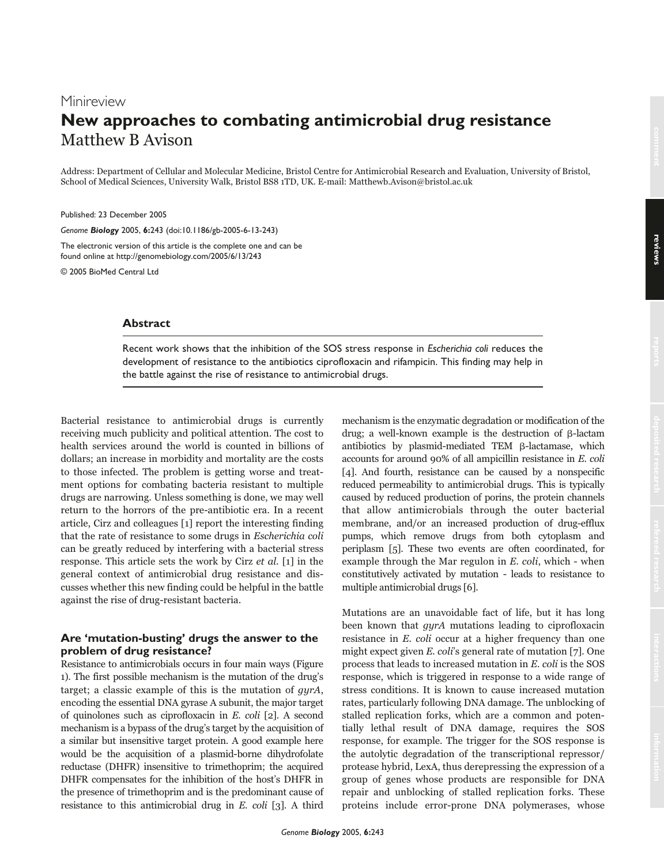# Minireview **New approaches to combating antimicrobial drug resistance** Matthew B Avison

Address: Department of Cellular and Molecular Medicine, Bristol Centre for Antimicrobial Research and Evaluation, University of Bristol, School of Medical Sciences, University Walk, Bristol BS8 1TD, UK. E-mail: Matthewb.Avison@bristol.ac.uk

Published: 23 December 2005

*Genome Biology* 2005, **6:**243 (doi:10.1186/gb-2005-6-13-243)

The electronic version of this article is the complete one and can be found online at http://genomebiology.com/2005/6/13/243

© 2005 BioMed Central Ltd

## **Abstract**

Recent work shows that the inhibition of the SOS stress response in *Escherichia coli* reduces the development of resistance to the antibiotics ciprofloxacin and rifampicin. This finding may help in the battle against the rise of resistance to antimicrobial drugs.

Bacterial resistance to antimicrobial drugs is currently receiving much publicity and political attention. The cost to health services around the world is counted in billions of dollars; an increase in morbidity and mortality are the costs to those infected. The problem is getting worse and treatment options for combating bacteria resistant to multiple drugs are narrowing. Unless something is done, we may well return to the horrors of the pre-antibiotic era. In a recent article, Cirz and colleagues [1] report the interesting finding that the rate of resistance to some drugs in Escherichia coli can be greatly reduced by interfering with a bacterial stress response. This article sets the work by Cirz et al. [1] in the general context of antimicrobial drug resistance and discusses whether this new finding could be helpful in the battle against the rise of drug-resistant bacteria.

## **Are 'mutation-busting' drugs the answer to the problem of drug resistance?**

Resistance to antimicrobials occurs in four main ways (Figure 1). The first possible mechanism is the mutation of the drug's target; a classic example of this is the mutation of gyrA, encoding the essential DNA gyrase A subunit, the major target of quinolones such as ciprofloxacin in E. coli [2]. A second mechanism is a bypass of the drug's target by the acquisition of a similar but insensitive target protein. A good example here would be the acquisition of a plasmid-borne dihydrofolate reductase (DHFR) insensitive to trimethoprim; the acquired DHFR compensates for the inhibition of the host's DHFR in the presence of trimethoprim and is the predominant cause of resistance to this antimicrobial drug in E. coli [3]. A third

mechanism is the enzymatic degradation or modification of the drug; a well-known example is the destruction of  $\beta$ -lactam antibiotics by plasmid-mediated TEM  $\beta$ -lactamase, which accounts for around 90% of all ampicillin resistance in E. coli [4]. And fourth, resistance can be caused by a nonspecific reduced permeability to antimicrobial drugs. This is typically caused by reduced production of porins, the protein channels that allow antimicrobials through the outer bacterial membrane, and/or an increased production of drug-efflux pumps, which remove drugs from both cytoplasm and periplasm [5]. These two events are often coordinated, for example through the Mar regulon in E. coli, which - when constitutively activated by mutation - leads to resistance to multiple antimicrobial drugs [6].

Mutations are an unavoidable fact of life, but it has long been known that gyrA mutations leading to ciprofloxacin resistance in E. coli occur at a higher frequency than one might expect given  $E$ . coli's general rate of mutation [7]. One process that leads to increased mutation in E. coli is the SOS response, which is triggered in response to a wide range of stress conditions. It is known to cause increased mutation rates, particularly following DNA damage. The unblocking of stalled replication forks, which are a common and potentially lethal result of DNA damage, requires the SOS response, for example. The trigger for the SOS response is the autolytic degradation of the transcriptional repressor/ protease hybrid, LexA, thus derepressing the expression of a group of genes whose products are responsible for DNA repair and unblocking of stalled replication forks. These proteins include error-prone DNA polymerases, whose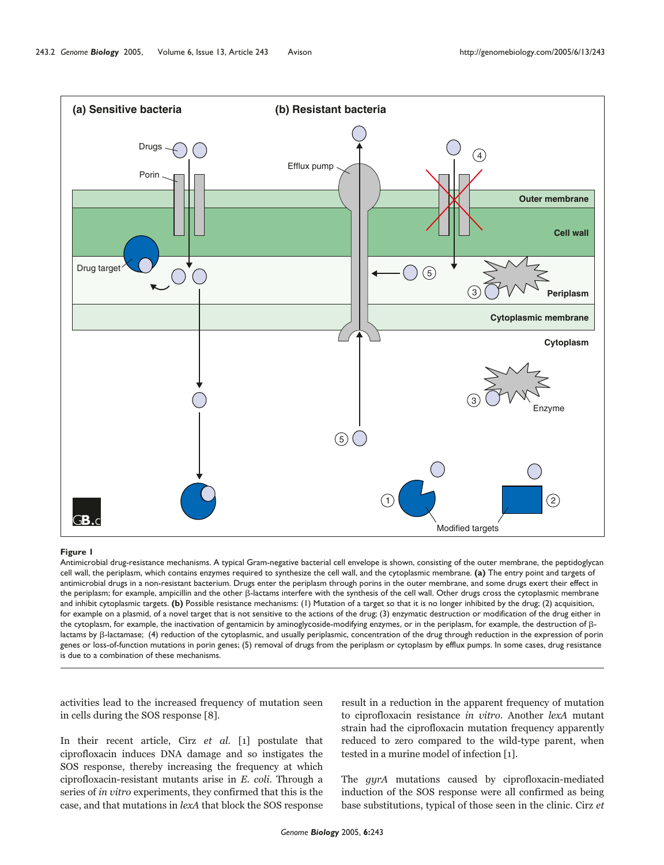

#### **Figure 1**

Antimicrobial drug-resistance mechanisms. A typical Gram-negative bacterial cell envelope is shown, consisting of the outer membrane, the peptidoglycan cell wall, the periplasm, which contains enzymes required to synthesize the cell wall, and the cytoplasmic membrane. **(a)** The entry point and targets of antimicrobial drugs in a non-resistant bacterium. Drugs enter the periplasm through porins in the outer membrane, and some drugs exert their effect in the periplasm; for example, ampicillin and the other  $\beta$ -lactams interfere with the synthesis of the cell wall. Other drugs cross the cytoplasmic membrane and inhibit cytoplasmic targets. **(b)** Possible resistance mechanisms: (1) Mutation of a target so that it is no longer inhibited by the drug; (2) acquisition, for example on a plasmid, of a novel target that is not sensitive to the actions of the drug; (3) enzymatic destruction or modification of the drug either in the cytoplasm, for example, the inactivation of gentamicin by aminoglycoside-modifying enzymes, or in the periplasm, for example, the destruction of  $\beta$ lactams by  $\beta$ -lactamase; (4) reduction of the cytoplasmic, and usually periplasmic, concentration of the drug through reduction in the expression of porin genes or loss-of-function mutations in porin genes; (5) removal of drugs from the periplasm or cytoplasm by efflux pumps. In some cases, drug resistance is due to a combination of these mechanisms.

activities lead to the increased frequency of mutation seen in cells during the SOS response [8].

In their recent article, Cirz et al. [1] postulate that ciprofloxacin induces DNA damage and so instigates the SOS response, thereby increasing the frequency at which ciprofloxacin-resistant mutants arise in E. coli. Through a series of in vitro experiments, they confirmed that this is the case, and that mutations in lexA that block the SOS response

result in a reduction in the apparent frequency of mutation to ciprofloxacin resistance in vitro. Another lexA mutant strain had the ciprofloxacin mutation frequency apparently reduced to zero compared to the wild-type parent, when tested in a murine model of infection [1].

The gyrA mutations caused by ciprofloxacin-mediated induction of the SOS response were all confirmed as being base substitutions, typical of those seen in the clinic. Cirz et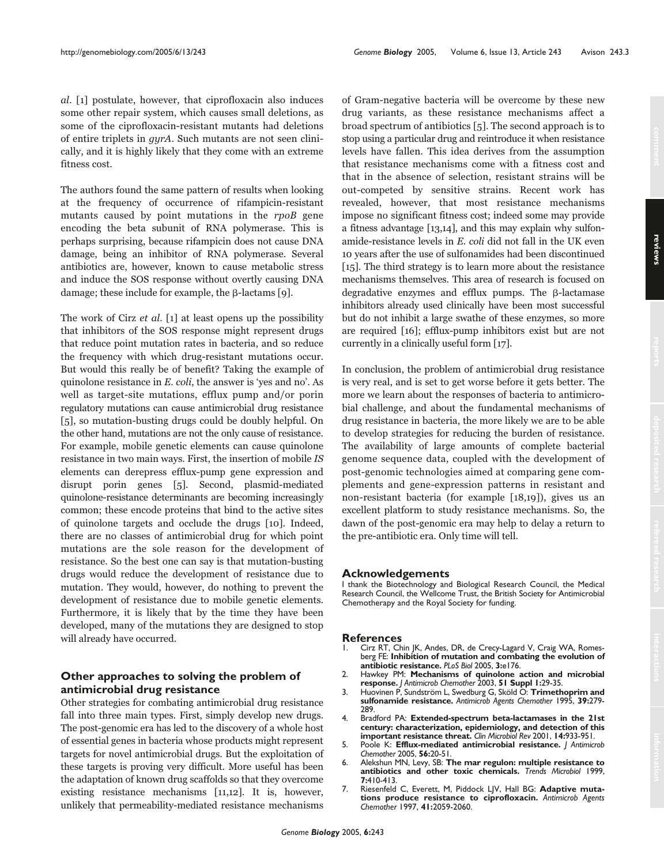al. [1] postulate, however, that ciprofloxacin also induces some other repair system, which causes small deletions, as some of the ciprofloxacin-resistant mutants had deletions of entire triplets in gyrA. Such mutants are not seen clinically, and it is highly likely that they come with an extreme fitness cost.

The authors found the same pattern of results when looking at the frequency of occurrence of rifampicin-resistant mutants caused by point mutations in the rpoB gene encoding the beta subunit of RNA polymerase. This is perhaps surprising, because rifampicin does not cause DNA damage, being an inhibitor of RNA polymerase. Several antibiotics are, however, known to cause metabolic stress and induce the SOS response without overtly causing DNA damage; these include for example, the  $\beta$ -lactams [9].

The work of Cirz et al. [1] at least opens up the possibility that inhibitors of the SOS response might represent drugs that reduce point mutation rates in bacteria, and so reduce the frequency with which drug-resistant mutations occur. But would this really be of benefit? Taking the example of quinolone resistance in E. coli, the answer is 'yes and no'. As well as target-site mutations, efflux pump and/or porin regulatory mutations can cause antimicrobial drug resistance [5], so mutation-busting drugs could be doubly helpful. On the other hand, mutations are not the only cause of resistance. For example, mobile genetic elements can cause quinolone resistance in two main ways. First, the insertion of mobile IS elements can derepress efflux-pump gene expression and disrupt porin genes [5]. Second, plasmid-mediated quinolone-resistance determinants are becoming increasingly common; these encode proteins that bind to the active sites of quinolone targets and occlude the drugs [10]. Indeed, there are no classes of antimicrobial drug for which point mutations are the sole reason for the development of resistance. So the best one can say is that mutation-busting drugs would reduce the development of resistance due to mutation. They would, however, do nothing to prevent the development of resistance due to mobile genetic elements. Furthermore, it is likely that by the time they have been developed, many of the mutations they are designed to stop will already have occurred.

## **Other approaches to solving the problem of antimicrobial drug resistance**

Other strategies for combating antimicrobial drug resistance fall into three main types. First, simply develop new drugs. The post-genomic era has led to the discovery of a whole host of essential genes in bacteria whose products might represent targets for novel antimicrobial drugs. But the exploitation of these targets is proving very difficult. More useful has been the adaptation of known drug scaffolds so that they overcome existing resistance mechanisms [11,12]. It is, however, unlikely that permeability-mediated resistance mechanisms

of Gram-negative bacteria will be overcome by these new drug variants, as these resistance mechanisms affect a broad spectrum of antibiotics [5]. The second approach is to stop using a particular drug and reintroduce it when resistance levels have fallen. This idea derives from the assumption that resistance mechanisms come with a fitness cost and that in the absence of selection, resistant strains will be out-competed by sensitive strains. Recent work has revealed, however, that most resistance mechanisms impose no significant fitness cost; indeed some may provide a fitness advantage [13,14], and this may explain why sulfonamide-resistance levels in E. coli did not fall in the UK even 10 years after the use of sulfonamides had been discontinued [15]. The third strategy is to learn more about the resistance mechanisms themselves. This area of research is focused on degradative enzymes and efflux pumps. The  $\beta$ -lactamase inhibitors already used clinically have been most successful but do not inhibit a large swathe of these enzymes, so more are required [16]; efflux-pump inhibitors exist but are not currently in a clinically useful form [17].

In conclusion, the problem of antimicrobial drug resistance is very real, and is set to get worse before it gets better. The more we learn about the responses of bacteria to antimicrobial challenge, and about the fundamental mechanisms of drug resistance in bacteria, the more likely we are to be able to develop strategies for reducing the burden of resistance. The availability of large amounts of complete bacterial genome sequence data, coupled with the development of post-genomic technologies aimed at comparing gene complements and gene-expression patterns in resistant and non-resistant bacteria (for example [18,19]), gives us an excellent platform to study resistance mechanisms. So, the dawn of the post-genomic era may help to delay a return to the pre-antibiotic era. Only time will tell.

### **Acknowledgements**

I thank the Biotechnology and Biological Research Council, the Medical Research Council, the Wellcome Trust, the British Society for Antimicrobial Chemotherapy and the Royal Society for funding.

#### **References**

- Cirz RT, Chin JK, Andes, DR, de Crecy-Lagard V, Craig WA, Romesberg FE: **Inhibition of mutation and combating the evolution of antibiotic resistance.** *PLoS Biol* 2005, **3:**e176.
- 2. Hawkey PM: **Mechanisms of quinolone action and microbial response.** *J Antimicrob Chemother* 2003, **51 Suppl 1:**29-35.
- 3. Huovinen P, Sundström L, Swedburg G, Sköld O: **Trimethoprim and sulfonamide resistance.** *Antimicrob Agents Chemother* 1995, **39:**279- 289.
- 4. Bradford PA: **Extended-spectrum beta-lactamases in the 21st century: characterization, epidemiology, and detection of this important resistance threat.** *Clin Microbiol Rev* 2001, **14:**933-951.
- 5. Poole K: **Efflux-mediated antimicrobial resistance.** *J Antimicrob Chemother* 2005, **56:**20-51.
- 6. Alekshun MN, Levy, SB: **The mar regulon: multiple resistance to antibiotics and other toxic chemicals.** *Trends Microbiol* 1999, **7:**410-413.
- 7. Riesenfeld C, Everett, M, Piddock LJV, Hall BG: **Adaptive mutations produce resistance to ciprofloxacin.** *Antimicrob Agents Chemother* 1997, **41:**2059-2060.